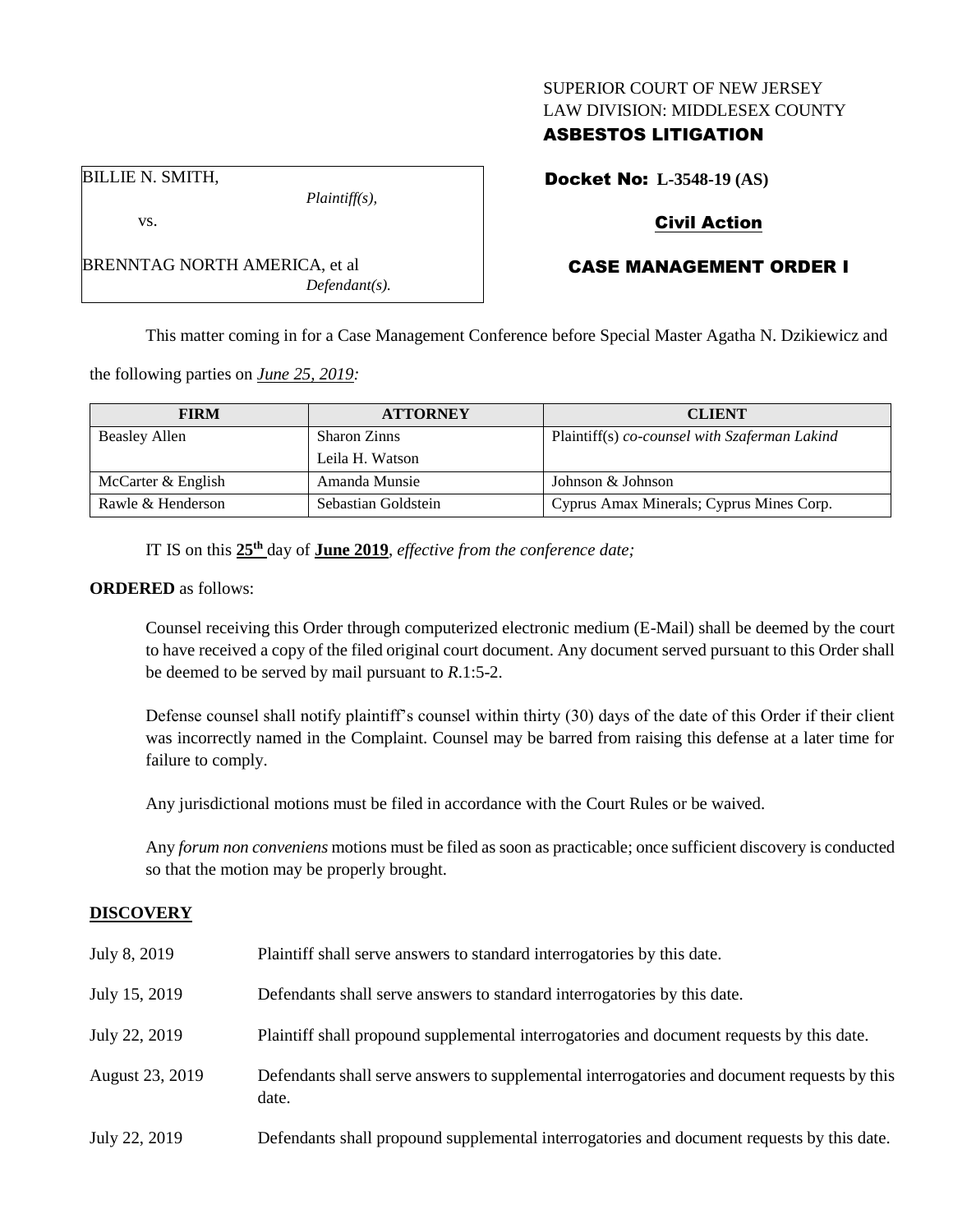### SUPERIOR COURT OF NEW JERSEY LAW DIVISION: MIDDLESEX COUNTY

## ASBESTOS LITIGATION

BILLIE N. SMITH,

vs.

*Plaintiff(s),*

*Defendant(s).*

Docket No: **L-3548-19 (AS)**

## Civil Action

# CASE MANAGEMENT ORDER I

This matter coming in for a Case Management Conference before Special Master Agatha N. Dzikiewicz and

the following parties on *June 25, 2019:*

BRENNTAG NORTH AMERICA, et al

| <b>FIRM</b>          | <b>ATTORNEY</b>     | <b>CLIENT</b>                                 |
|----------------------|---------------------|-----------------------------------------------|
| <b>Beasley Allen</b> | <b>Sharon Zinns</b> | Plaintiff(s) co-counsel with Szaferman Lakind |
|                      | Leila H. Watson     |                                               |
| McCarter & English   | Amanda Munsie       | Johnson & Johnson                             |
| Rawle & Henderson    | Sebastian Goldstein | Cyprus Amax Minerals; Cyprus Mines Corp.      |

IT IS on this **25th** day of **June 2019**, *effective from the conference date;*

### **ORDERED** as follows:

Counsel receiving this Order through computerized electronic medium (E-Mail) shall be deemed by the court to have received a copy of the filed original court document. Any document served pursuant to this Order shall be deemed to be served by mail pursuant to *R*.1:5-2.

Defense counsel shall notify plaintiff's counsel within thirty (30) days of the date of this Order if their client was incorrectly named in the Complaint. Counsel may be barred from raising this defense at a later time for failure to comply.

Any jurisdictional motions must be filed in accordance with the Court Rules or be waived.

Any *forum non conveniens* motions must be filed as soon as practicable; once sufficient discovery is conducted so that the motion may be properly brought.

### **DISCOVERY**

| July 8, 2019    | Plaintiff shall serve answers to standard interrogatories by this date.                               |
|-----------------|-------------------------------------------------------------------------------------------------------|
| July 15, 2019   | Defendants shall serve answers to standard interrogatories by this date.                              |
| July 22, 2019   | Plaintiff shall propound supplemental interrogatories and document requests by this date.             |
| August 23, 2019 | Defendants shall serve answers to supplemental interrogatories and document requests by this<br>date. |
| July 22, 2019   | Defendants shall propound supplemental interrogatories and document requests by this date.            |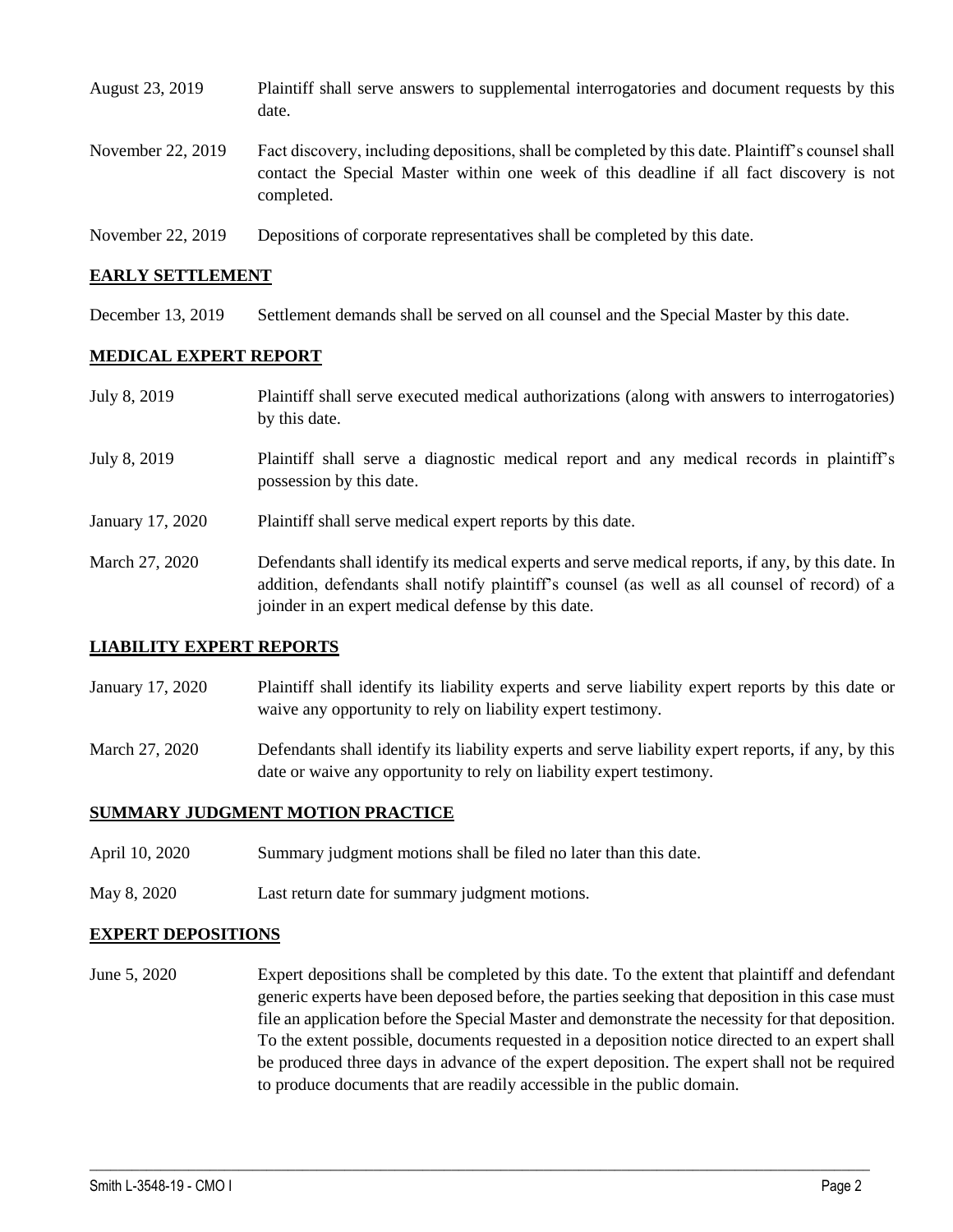| August 23, 2019   | Plaintiff shall serve answers to supplemental interrogatories and document requests by this<br>date.                                                                                                        |
|-------------------|-------------------------------------------------------------------------------------------------------------------------------------------------------------------------------------------------------------|
| November 22, 2019 | Fact discovery, including depositions, shall be completed by this date. Plaintiff's counsel shall<br>contact the Special Master within one week of this deadline if all fact discovery is not<br>completed. |
| November 22, 2019 | Depositions of corporate representatives shall be completed by this date.                                                                                                                                   |

### **EARLY SETTLEMENT**

December 13, 2019 Settlement demands shall be served on all counsel and the Special Master by this date.

#### **MEDICAL EXPERT REPORT**

| July 8, 2019     | Plaintiff shall serve executed medical authorizations (along with answers to interrogatories)<br>by this date.                                                                                                                                           |
|------------------|----------------------------------------------------------------------------------------------------------------------------------------------------------------------------------------------------------------------------------------------------------|
| July 8, 2019     | Plaintiff shall serve a diagnostic medical report and any medical records in plaintiff's<br>possession by this date.                                                                                                                                     |
| January 17, 2020 | Plaintiff shall serve medical expert reports by this date.                                                                                                                                                                                               |
| March 27, 2020   | Defendants shall identify its medical experts and serve medical reports, if any, by this date. In<br>addition, defendants shall notify plaintiff's counsel (as well as all counsel of record) of a<br>joinder in an expert medical defense by this date. |

### **LIABILITY EXPERT REPORTS**

- January 17, 2020 Plaintiff shall identify its liability experts and serve liability expert reports by this date or waive any opportunity to rely on liability expert testimony.
- March 27, 2020 Defendants shall identify its liability experts and serve liability expert reports, if any, by this date or waive any opportunity to rely on liability expert testimony.

### **SUMMARY JUDGMENT MOTION PRACTICE**

- April 10, 2020 Summary judgment motions shall be filed no later than this date.
- May 8, 2020 Last return date for summary judgment motions.

#### **EXPERT DEPOSITIONS**

June 5, 2020 Expert depositions shall be completed by this date. To the extent that plaintiff and defendant generic experts have been deposed before, the parties seeking that deposition in this case must file an application before the Special Master and demonstrate the necessity for that deposition. To the extent possible, documents requested in a deposition notice directed to an expert shall be produced three days in advance of the expert deposition. The expert shall not be required to produce documents that are readily accessible in the public domain.

 $\_$  , and the set of the set of the set of the set of the set of the set of the set of the set of the set of the set of the set of the set of the set of the set of the set of the set of the set of the set of the set of th